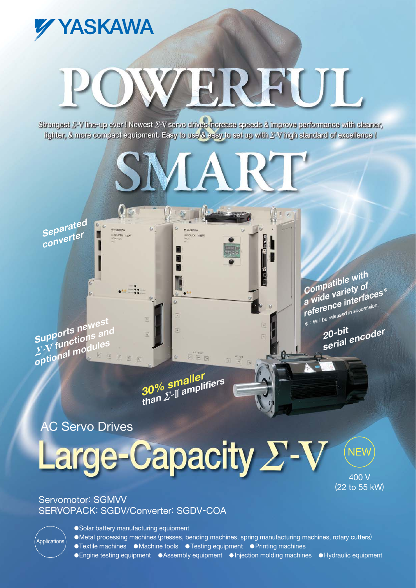Solar battery manufacturing equipment Metal processing machines (presses, bending machines, spring manufacturing machines, rotary cutters) ●Textile machines ●Machine tools ●Testing equipment ●Printing machines ● Engine testing equipment ● Assembly equipment ● Injection molding machines ● Hydraulic equipment

 $\boxed{v}$   $\boxed{v}$   $\boxed{v}$ 

# Servomotor: SGMVV SERVOPACK: SGDV/Converter: SGDV-COA

400 V (22 to 55 kW)

**NEW** 

# **C Servo Drives**

Applications

**30% smaller than amplifiers**

Large-Capacity *E*-V

**Supports newest** *E*-V functions and<br> **C**-V functions and **optional modules**

**Separated converter**

YASKAWA

**20-bit serial encoder reference interfaces**\* \* : Will be released in succession.

**Compatible with a wide variety of**

Strongest 2'-V line-up ever ! Newest 2'-V servo drives increase speeds & improve performance with cleaner, lighter, & more compact equipment. Easy to use & easy to set up with *Y*-V high standard of excellence I

**SMA** 

# WERFUL